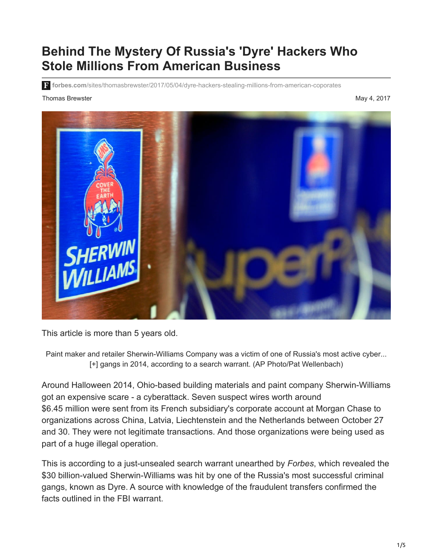# **Behind The Mystery Of Russia's 'Dyre' Hackers Who Stole Millions From American Business**

**forbes.com**[/sites/thomasbrewster/2017/05/04/dyre-hackers-stealing-millions-from-american-coporates](https://www.forbes.com/sites/thomasbrewster/2017/05/04/dyre-hackers-stealing-millions-from-american-coporates)

#### Thomas Brewster May 4, 2017



This article is more than 5 years old.

Paint maker and retailer Sherwin-Williams Company was a victim of one of Russia's most active cyber... [+] gangs in 2014, according to a search warrant. (AP Photo/Pat Wellenbach)

Around Halloween 2014, Ohio-based building materials and paint company Sherwin-Williams got an expensive scare - a cyberattack. Seven suspect wires worth around \$6.45 million were sent from its French subsidiary's corporate account at Morgan Chase to organizations across China, Latvia, Liechtenstein and the Netherlands between October 27 and 30. They were not legitimate transactions. And those organizations were being used as part of a huge illegal operation.

This is according to a just-unsealed search warrant unearthed by *Forbes*, which revealed the \$30 billion-valued Sherwin-Williams was hit by one of the Russia's most successful criminal gangs, known as Dyre. A source with knowledge of the fraudulent transfers confirmed the facts outlined in the FBI warrant.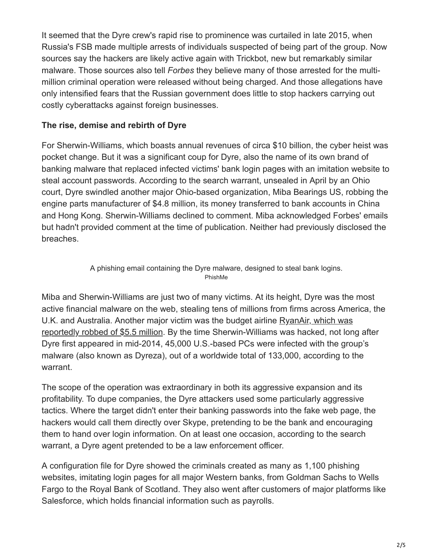It seemed that the Dyre crew's rapid rise to prominence was curtailed in late 2015, when Russia's FSB made multiple arrests of individuals suspected of being part of the group. Now sources say the hackers are likely active again with Trickbot, new but remarkably similar malware. Those sources also tell *Forbes* they believe many of those arrested for the multimillion criminal operation were released without being charged. And those allegations have only intensified fears that the Russian government does little to stop hackers carrying out costly cyberattacks against foreign businesses.

### **The rise, demise and rebirth of Dyre**

For Sherwin-Williams, which boasts annual revenues of circa \$10 billion, the cyber heist was pocket change. But it was a significant coup for Dyre, also the name of its own brand of banking malware that replaced infected victims' bank login pages with an imitation website to steal account passwords. According to the search warrant, unsealed in April by an Ohio court, Dyre swindled another major Ohio-based organization, Miba Bearings US, robbing the engine parts manufacturer of \$4.8 million, its money transferred to bank accounts in China and Hong Kong. Sherwin-Williams declined to comment. Miba acknowledged Forbes' emails but hadn't provided comment at the time of publication. Neither had previously disclosed the breaches.

> A phishing email containing the Dyre malware, designed to steal bank logins. PhishMe

Miba and Sherwin-Williams are just two of many victims. At its height, Dyre was the most active financial malware on the web, stealing tens of millions from firms across America, the [U.K. and Australia. Another major victim was the budget airline RyanAir, which was](http://www.ibtimes.co.uk/how-ryanair-was-hacked-see-5m-stolen-its-bank-accounts-1499206) reportedly robbed of \$5.5 million. By the time Sherwin-Williams was hacked, not long after Dyre first appeared in mid-2014, 45,000 U.S.-based PCs were infected with the group's malware (also known as Dyreza), out of a worldwide total of 133,000, according to the warrant.

The scope of the operation was extraordinary in both its aggressive expansion and its profitability. To dupe companies, the Dyre attackers used some particularly aggressive tactics. Where the target didn't enter their banking passwords into the fake web page, the hackers would call them directly over Skype, pretending to be the bank and encouraging them to hand over login information. On at least one occasion, according to the search warrant, a Dyre agent pretended to be a law enforcement officer.

A configuration file for Dyre showed the criminals created as many as 1,100 phishing websites, imitating login pages for all major Western banks, from Goldman Sachs to Wells Fargo to the Royal Bank of Scotland. They also went after customers of major platforms like Salesforce, which holds financial information such as payrolls.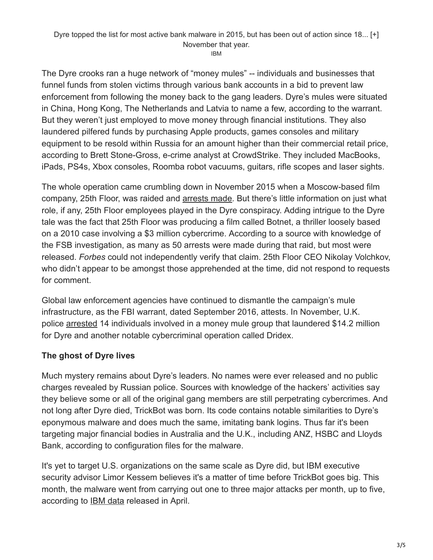The Dyre crooks ran a huge network of "money mules" -- individuals and businesses that funnel funds from stolen victims through various bank accounts in a bid to prevent law enforcement from following the money back to the gang leaders. Dyre's mules were situated in China, Hong Kong, The Netherlands and Latvia to name a few, according to the warrant. But they weren't just employed to move money through financial institutions. They also laundered pilfered funds by purchasing Apple products, games consoles and military equipment to be resold within Russia for an amount higher than their commercial retail price, according to Brett Stone-Gross, e-crime analyst at CrowdStrike. They included MacBooks, iPads, PS4s, Xbox consoles, Roomba robot vacuums, guitars, rifle scopes and laser sights.

The whole operation came crumbling down in November 2015 when a Moscow-based film company, 25th Floor, was raided and [arrests made](https://www.forbes.com/sites/thomasbrewster/2016/02/08/russia-arrests-dyre-malware-masterminds/). But there's little information on just what role, if any, 25th Floor employees played in the Dyre conspiracy. Adding intrigue to the Dyre tale was the fact that 25th Floor was producing a film called Botnet, a thriller loosely based on a 2010 case involving a \$3 million cybercrime. According to a source with knowledge of the FSB investigation, as many as 50 arrests were made during that raid, but most were released. *Forbes* could not independently verify that claim. 25th Floor CEO Nikolay Volchkov, who didn't appear to be amongst those apprehended at the time, did not respond to requests for comment.

Global law enforcement agencies have continued to dismantle the campaign's mule infrastructure, as the FBI warrant, dated September 2016, attests. In November, U.K. police [arrested](http://www.nationalcrimeagency.gov.uk/news/948-nca-targets-international-cyber-crime-network) 14 individuals involved in a money mule group that laundered \$14.2 million for Dyre and another notable cybercriminal operation called Dridex.

# **The ghost of Dyre lives**

Much mystery remains about Dyre's leaders. No names were ever released and no public charges revealed by Russian police. Sources with knowledge of the hackers' activities say they believe some or all of the original gang members are still perpetrating cybercrimes. And not long after Dyre died, TrickBot was born. Its code contains notable similarities to Dyre's eponymous malware and does much the same, imitating bank logins. Thus far it's been targeting major financial bodies in Australia and the U.K., including ANZ, HSBC and Lloyds Bank, according to configuration files for the malware.

It's yet to target U.S. organizations on the same scale as Dyre did, but IBM executive security advisor Limor Kessem believes it's a matter of time before TrickBot goes big. This month, the malware went from carrying out one to three major attacks per month, up to five, according to **IBM data** released in April.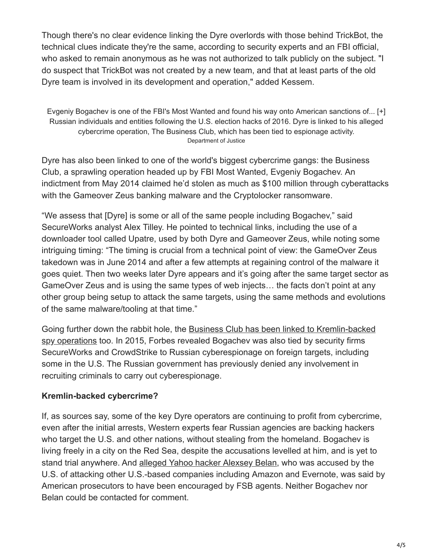Though there's no clear evidence linking the Dyre overlords with those behind TrickBot, the technical clues indicate they're the same, according to security experts and an FBI official, who asked to remain anonymous as he was not authorized to talk publicly on the subject. "I do suspect that TrickBot was not created by a new team, and that at least parts of the old Dyre team is involved in its development and operation," added Kessem.

Evgeniy Bogachev is one of the FBI's Most Wanted and found his way onto American sanctions of... [+] Russian individuals and entities following the U.S. election hacks of 2016. Dyre is linked to his alleged cybercrime operation, The Business Club, which has been tied to espionage activity. Department of Justice

Dyre has also been linked to one of the world's biggest cybercrime gangs: the Business Club, a sprawling operation headed up by FBI Most Wanted, Evgeniy Bogachev. An indictment from May 2014 claimed he'd stolen as much as \$100 million through cyberattacks with the Gameover Zeus banking malware and the Cryptolocker ransomware.

"We assess that [Dyre] is some or all of the same people including Bogachev," said SecureWorks analyst Alex Tilley. He pointed to technical links, including the use of a downloader tool called Upatre, used by both Dyre and Gameover Zeus, while noting some intriguing timing: "The timing is crucial from a technical point of view: the GameOver Zeus takedown was in June 2014 and after a few attempts at regaining control of the malware it goes quiet. Then two weeks later Dyre appears and it's going after the same target sector as GameOver Zeus and is using the same types of web injects… the facts don't point at any other group being setup to attack the same targets, using the same methods and evolutions of the same malware/tooling at that time."

[Going further down the rabbit hole, the Business Club has been linked to Kremlin-backed](https://www.forbes.com/sites/thomasbrewster/2015/08/05/gameover-zeus-surveillance-links/) spy operations too. In 2015, Forbes revealed Bogachev was also tied by security firms SecureWorks and CrowdStrike to Russian cyberespionage on foreign targets, including some in the U.S. The Russian government has previously denied any involvement in recruiting criminals to carry out cyberespionage.

# **Kremlin-backed cybercrime?**

If, as sources say, some of the key Dyre operators are continuing to profit from cybercrime, even after the initial arrests, Western experts fear Russian agencies are backing hackers who target the U.S. and other nations, without stealing from the homeland. Bogachev is living freely in a city on the Red Sea, despite the accusations levelled at him, and is yet to stand trial anywhere. And [alleged Yahoo hacker Alexsey Belan,](https://www.forbes.com/sites/thomasbrewster/2017/03/20/alexsey-belan-yahoo-fbi-hacker-allegations/) who was accused by the U.S. of attacking other U.S.-based companies including Amazon and Evernote, was said by American prosecutors to have been encouraged by FSB agents. Neither Bogachev nor Belan could be contacted for comment.